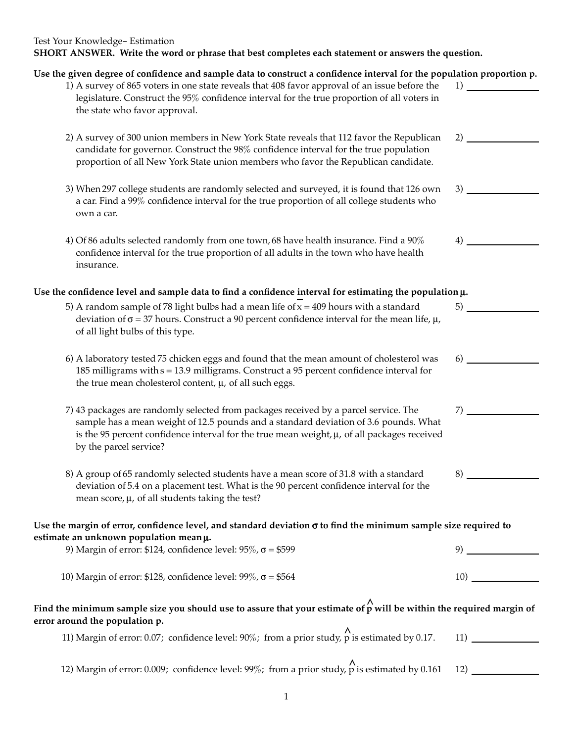## Test Your Knowledge- Estimation **SHORT ANSWER. Write the word or phrase that best completes each statement or answers the question.**

| Use the given degree of confidence and sample data to construct a confidence interval for the population proportion p.<br>1) A survey of 865 voters in one state reveals that 408 favor approval of an issue before the                                                                                                                                              | $1)$ $-$ |  |
|----------------------------------------------------------------------------------------------------------------------------------------------------------------------------------------------------------------------------------------------------------------------------------------------------------------------------------------------------------------------|----------|--|
| legislature. Construct the 95% confidence interval for the true proportion of all voters in<br>the state who favor approval.                                                                                                                                                                                                                                         |          |  |
| 2) A survey of 300 union members in New York State reveals that 112 favor the Republican<br>candidate for governor. Construct the 98% confidence interval for the true population<br>proportion of all New York State union members who favor the Republican candidate.<br>3) When 297 college students are randomly selected and surveyed, it is found that 126 own | 2)       |  |
|                                                                                                                                                                                                                                                                                                                                                                      | 3)       |  |
| a car. Find a 99% confidence interval for the true proportion of all college students who<br>own a car.                                                                                                                                                                                                                                                              |          |  |
| 4) Of 86 adults selected randomly from one town, 68 have health insurance. Find a 90%<br>confidence interval for the true proportion of all adults in the town who have health<br>insurance.                                                                                                                                                                         | 4)       |  |
| Use the confidence level and sample data to find a confidence interval for estimating the population $\mu$ .                                                                                                                                                                                                                                                         |          |  |
| 5) A random sample of 78 light bulbs had a mean life of $x = 409$ hours with a standard<br>deviation of $\sigma$ = 37 hours. Construct a 90 percent confidence interval for the mean life, $\mu$ ,<br>of all light bulbs of this type.                                                                                                                               | 5)       |  |
| 6) A laboratory tested 75 chicken eggs and found that the mean amount of cholesterol was<br>185 milligrams with $s = 13.9$ milligrams. Construct a 95 percent confidence interval for<br>the true mean cholesterol content, $\mu$ , of all such eggs.                                                                                                                | 6)       |  |
| 7) 43 packages are randomly selected from packages received by a parcel service. The<br>sample has a mean weight of 12.5 pounds and a standard deviation of 3.6 pounds. What<br>is the 95 percent confidence interval for the true mean weight, $\mu$ , of all packages received<br>by the parcel service?                                                           | 7)       |  |
| 8) A group of 65 randomly selected students have a mean score of 31.8 with a standard<br>deviation of 5.4 on a placement test. What is the 90 percent confidence interval for the<br>mean score, $\mu$ , of all students taking the test?                                                                                                                            | 8)       |  |
| Use the margin of error, confidence level, and standard deviation $\sigma$ to find the minimum sample size required to                                                                                                                                                                                                                                               |          |  |
| estimate an unknown population meanµ.<br>9) Margin of error: \$124, confidence level: $95\%$ , $\sigma = $599$                                                                                                                                                                                                                                                       | 9)       |  |
| 10) Margin of error: \$128, confidence level: $99\%$ , $\sigma = $564$                                                                                                                                                                                                                                                                                               | 10)      |  |
| Find the minimum sample size you should use to assure that your estimate of $\stackrel{\wedge}{p}$ will be within the required margin of<br>error around the population p.                                                                                                                                                                                           |          |  |
| 11) Margin of error: 0.07; confidence level: $90\%$ ; from a prior study, p is estimated by 0.17.                                                                                                                                                                                                                                                                    | 11)      |  |
| 12) Margin of error: 0.009; confidence level: 99%; from a prior study, $\stackrel{\wedge}{p}$ is estimated by 0.161                                                                                                                                                                                                                                                  | 12)      |  |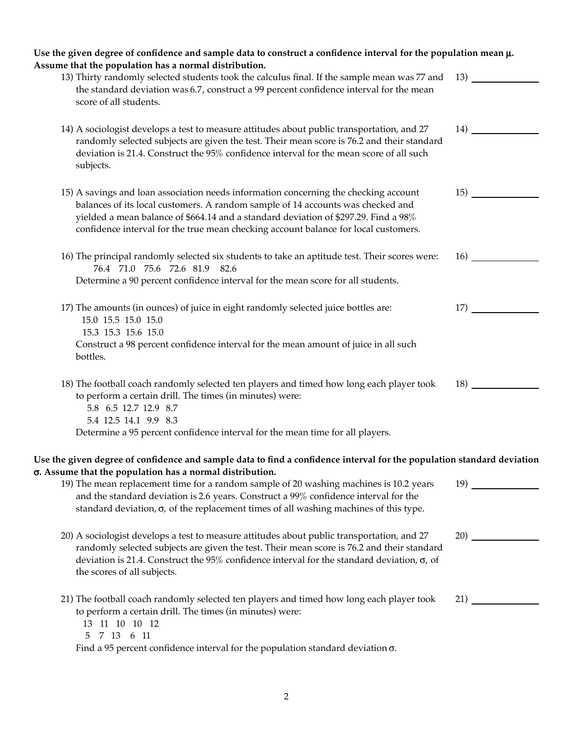| Use the given degree of confidence and sample data to construct a confidence interval for the population mean $\mu$ .<br>Assume that the population has a normal distribution.                                                                                                                                                                        |                            |
|-------------------------------------------------------------------------------------------------------------------------------------------------------------------------------------------------------------------------------------------------------------------------------------------------------------------------------------------------------|----------------------------|
| 13) Thirty randomly selected students took the calculus final. If the sample mean was 77 and<br>the standard deviation was 6.7, construct a 99 percent confidence interval for the mean<br>score of all students.                                                                                                                                     | 13)                        |
| 14) A sociologist develops a test to measure attitudes about public transportation, and 27<br>randomly selected subjects are given the test. Their mean score is 76.2 and their standard<br>deviation is 21.4. Construct the 95% confidence interval for the mean score of all such<br>subjects.                                                      | $\left(14\right)$ $\qquad$ |
| 15) A savings and loan association needs information concerning the checking account<br>balances of its local customers. A random sample of 14 accounts was checked and<br>yielded a mean balance of \$664.14 and a standard deviation of \$297.29. Find a 98%<br>confidence interval for the true mean checking account balance for local customers. | 15)                        |
| 16) The principal randomly selected six students to take an aptitude test. Their scores were:<br>76.4 71.0 75.6 72.6 81.9 82.6<br>Determine a 90 percent confidence interval for the mean score for all students.                                                                                                                                     | 16)                        |
| 17) The amounts (in ounces) of juice in eight randomly selected juice bottles are:<br>15.0 15.5 15.0 15.0<br>15.3 15.3 15.6 15.0<br>Construct a 98 percent confidence interval for the mean amount of juice in all such<br>bottles.                                                                                                                   | 17)                        |
| 18) The football coach randomly selected ten players and timed how long each player took<br>to perform a certain drill. The times (in minutes) were:<br>5.8 6.5 12.7 12.9 8.7<br>5.4 12.5 14.1 9.9 8.3<br>Determine a 95 percent confidence interval for the mean time for all players.                                                               | 18)                        |
| Use the given degree of confidence and sample data to find a confidence interval for the population standard deviation<br>σ. Assume that the population has a normal distribution.                                                                                                                                                                    |                            |
| 19) The mean replacement time for a random sample of 20 washing machines is 10.2 years<br>and the standard deviation is 2.6 years. Construct a 99% confidence interval for the<br>standard deviation, $\sigma$ , of the replacement times of all washing machines of this type.                                                                       | 19)                        |
| 20) A sociologist develops a test to measure attitudes about public transportation, and 27<br>randomly selected subjects are given the test. Their mean score is 76.2 and their standard<br>deviation is 21.4. Construct the 95% confidence interval for the standard deviation, $\sigma$ , of<br>the scores of all subjects.                         | 20)                        |
| 21) The football coach randomly selected ten players and timed how long each player took<br>to perform a certain drill. The times (in minutes) were:<br>13 11 10 10 12<br>7 13 6 11<br>5.<br>Find a 95 percent confidence interval for the population standard deviation $\sigma$ .                                                                   |                            |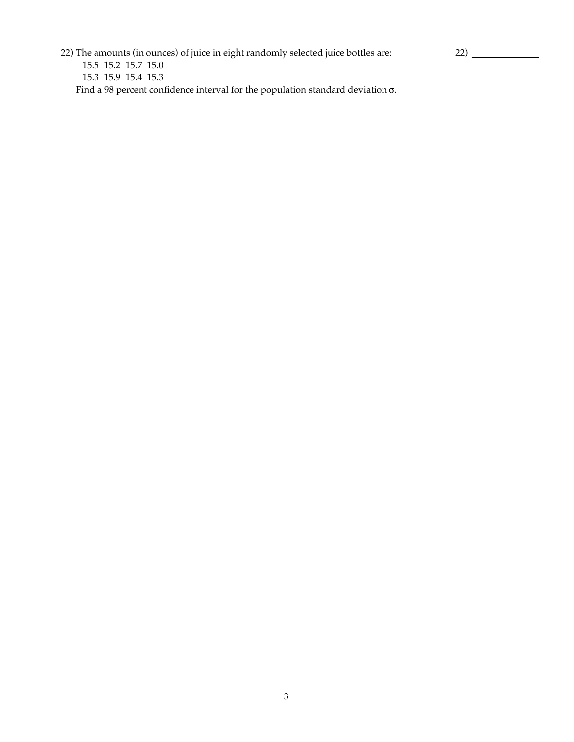22) The amounts (in ounces) of juice in eight randomly selected juice bottles are:

 15.5 15.2 15.7 15.0 15.3 15.9 15.4 15.3 Find a 98 percent confidence interval for the population standard deviation σ.